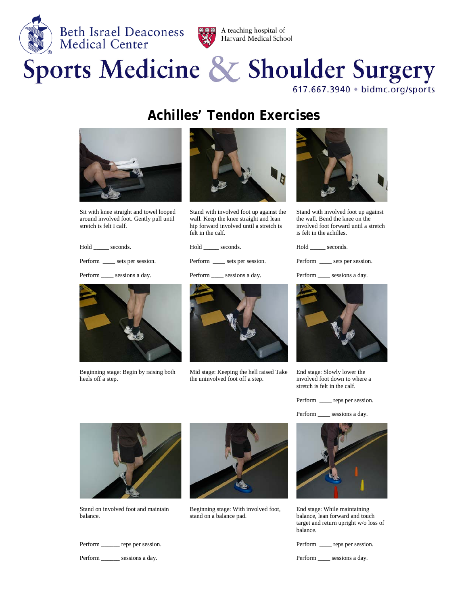



## Sports Medicine & Shoulder Surgery

617.667.3940 · bidmc.org/sports

## **Achilles' Tendon Exercises**



Sit with knee straight and towel looped around involved foot. Gently pull until stretch is felt I calf.

Hold \_\_\_\_\_\_ seconds.

Perform \_\_\_\_\_ sets per session.



Stand with involved foot up against the wall. Keep the knee straight and lean hip forward involved until a stretch is felt in the calf.



Stand with involved foot up against the wall. Bend the knee on the involved foot forward until a stretch is felt in the achilles.

Hold \_\_\_\_\_ seconds.

Perform \_\_\_\_\_ sets per session.

Perform \_\_\_\_\_ sessions a day.



Beginning stage: Begin by raising both heels off a step.



Mid stage: Keeping the hell raised Take the uninvolved foot off a step.



End stage: Slowly lower the involved foot down to where a stretch is felt in the calf.

Perform \_\_\_\_\_ reps per session.

Perform sessions a day.



Stand on involved foot and maintain balance.

Perform \_\_\_\_\_\_\_ reps per session.

Perform \_\_\_\_\_\_\_ sessions a day.



Beginning stage: With involved foot, stand on a balance pad.



End stage: While maintaining balance, lean forward and touch target and return upright w/o loss of balance.

Perform \_\_\_\_\_ reps per session.

Perform \_\_\_\_\_ sessions a day.

Hold \_\_\_\_\_\_ seconds.

Perform \_\_\_\_\_ sets per session.

Perform \_\_\_\_ sessions a day.